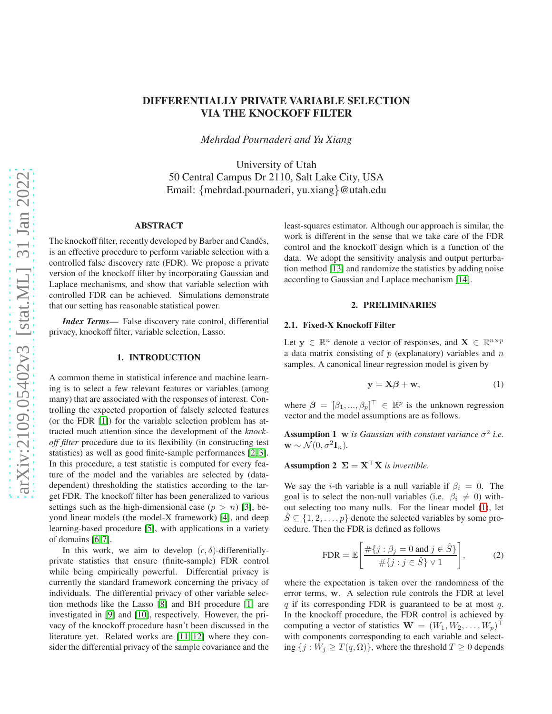# DIFFERENTIALLY PRIVATE VARIABLE SELECTION VIA THE KNOCKOFF FILTER

*Mehrdad Pournaderi and Yu Xiang*

University of Utah 50 Central Campus Dr 2110, Salt Lake City, USA Email: {mehrdad.pournaderi, yu.xiang}@utah.edu

## ABSTRACT

The knockoff filter, recently developed by Barber and Candès, is an effective procedure to perform variable selection with a controlled false discovery rate (FDR). We propose a private version of the knockoff filter by incorporating Gaussian and Laplace mechanisms, and show that variable selection with controlled FDR can be achieved. Simulations demonstrate that our setting has reasonable statistical power.

*Index Terms*— False discovery rate control, differential privacy, knockoff filter, variable selection, Lasso.

## 1. INTRODUCTION

A common theme in statistical inference and machine learning is to select a few relevant features or variables (among many) that are associated with the responses of interest. Controlling the expected proportion of falsely selected features (or the FDR [\[1\]](#page-5-0)) for the variable selection problem has attracted much attention since the development of the *knockoff filter* procedure due to its flexibility (in constructing test statistics) as well as good finite-sample performances [\[2,](#page-5-1) [3\]](#page-5-2). In this procedure, a test statistic is computed for every feature of the model and the variables are selected by (datadependent) thresholding the statistics according to the target FDR. The knockoff filter has been generalized to various settings such as the high-dimensional case  $(p > n)$  [\[3\]](#page-5-2), beyond linear models (the model-X framework) [\[4\]](#page-5-3), and deep learning-based procedure [\[5\]](#page-5-4), with applications in a variety of domains [\[6,](#page-5-5) [7\]](#page-5-6).

In this work, we aim to develop  $(\epsilon, \delta)$ -differentiallyprivate statistics that ensure (finite-sample) FDR control while being empirically powerful. Differential privacy is currently the standard framework concerning the privacy of individuals. The differential privacy of other variable selection methods like the Lasso [\[8\]](#page-5-7) and BH procedure [\[1\]](#page-5-0) are investigated in [\[9\]](#page-5-8) and [\[10\]](#page-5-9), respectively. However, the privacy of the knockoff procedure hasn't been discussed in the literature yet. Related works are [\[11,](#page-5-10) [12\]](#page-5-11) where they consider the differential privacy of the sample covariance and the

least-squares estimator. Although our approach is similar, the work is different in the sense that we take care of the FDR control and the knockoff design which is a function of the data. We adopt the sensitivity analysis and output perturbation method [\[13\]](#page-5-12) and randomize the statistics by adding noise according to Gaussian and Laplace mechanism [\[14\]](#page-6-0).

## 2. PRELIMINARIES

## 2.1. Fixed-X Knockoff Filter

Let  $y \in \mathbb{R}^n$  denote a vector of responses, and  $X \in \mathbb{R}^{n \times p}$ a data matrix consisting of  $p$  (explanatory) variables and  $n$ samples. A canonical linear regression model is given by

<span id="page-0-0"></span>
$$
y = X\beta + w,\tag{1}
$$

where  $\beta = [\beta_1, ..., \beta_p]^\top \in \mathbb{R}^p$  is the unknown regression vector and the model assumptions are as follows.

**Assumption 1** w is Gaussian with constant variance  $\sigma^2$  i.e.  $\mathbf{w} \sim \mathcal{N}(0, \sigma^2 \mathbf{I}_n).$ 

Assumption 2  $\Sigma = X^{\top}X$  *is invertible.* 

We say the *i*-th variable is a null variable if  $\beta_i = 0$ . The goal is to select the non-null variables (i.e.  $\beta_i \neq 0$ ) without selecting too many nulls. For the linear model [\(1\)](#page-0-0), let  $S \subseteq \{1, 2, \ldots, p\}$  denote the selected variables by some procedure. Then the FDR is defined as follows

$$
\text{FDR} = \mathbb{E}\left[\frac{\#\{j : \beta_j = 0 \text{ and } j \in \hat{S}\}}{\#\{j : j \in \hat{S}\} \vee 1}\right],\tag{2}
$$

where the expectation is taken over the randomness of the error terms, w. A selection rule controls the FDR at level  $q$  if its corresponding FDR is guaranteed to be at most  $q$ . In the knockoff procedure, the FDR control is achieved by computing a vector of statistics  $\mathbf{W} = (W_1, W_2, \dots, W_p)^\top$ with components corresponding to each variable and selecting  $\{j : W_j \geq T(q, \Omega)\}\$ , where the threshold  $T \geq 0$  depends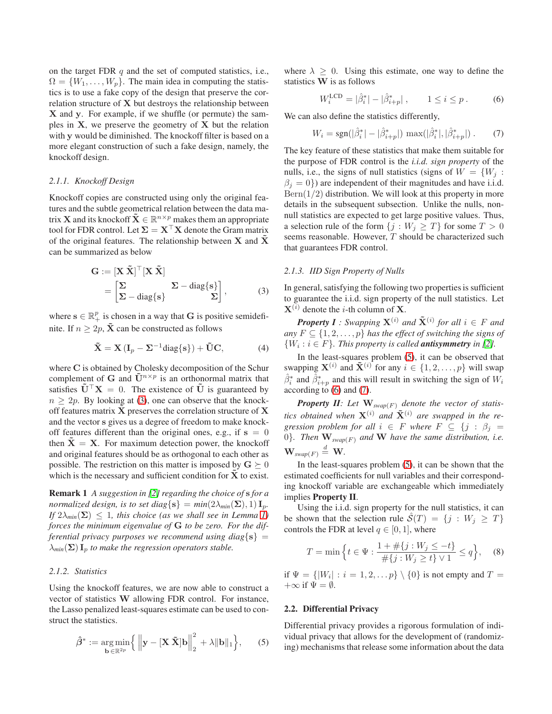on the target FDR  $q$  and the set of computed statistics, i.e.,  $\Omega = \{W_1, \ldots, W_p\}$ . The main idea in computing the statistics is to use a fake copy of the design that preserve the correlation structure of X but destroys the relationship between X and y. For example, if we shuffle (or permute) the samples in  $X$ , we preserve the geometry of  $X$  but the relation with y would be diminished. The knockoff filter is based on a more elegant construction of such a fake design, namely, the knockoff design.

#### *2.1.1. Knockoff Design*

Knockoff copies are constructed using only the original features and the subtle geometrical relation between the data matrix **X** and its knockoff  $\tilde{\mathbf{X}} \in \mathbb{R}^{n \times p}$  makes them an appropriate tool for FDR control. Let  $\Sigma = X^{\top}X$  denote the Gram matrix of the original features. The relationship between  $X$  and  $X$ can be summarized as below

$$
\mathbf{G} := [\mathbf{X} \tilde{\mathbf{X}}]^{\top} [\mathbf{X} \tilde{\mathbf{X}}] \n= \begin{bmatrix} \Sigma & \Sigma - \text{diag}\{\mathbf{s}\} \\ \Sigma - \text{diag}\{\mathbf{s}\} & \Sigma \end{bmatrix},
$$
\n(3)

where  $\mathbf{s} \in \mathbb{R}_+^p$  is chosen in a way that **G** is positive semidefinite. If  $n \geq 2p$ ,  $\tilde{\mathbf{X}}$  can be constructed as follows

<span id="page-1-4"></span>
$$
\tilde{\mathbf{X}} = \mathbf{X} \left( \mathbf{I}_p - \mathbf{\Sigma}^{-1} \text{diag}\{\mathbf{s}\} \right) + \tilde{\mathbf{U}} \mathbf{C}, \tag{4}
$$

where C is obtained by Cholesky decomposition of the Schur complement of G and  $\tilde{\mathbf{U}}^{n \times p}$  is an orthonormal matrix that satisfies  $\tilde{\mathbf{U}}^{\top} \mathbf{X} = 0$ . The existence of  $\tilde{\mathbf{U}}$  is guaranteed by  $n \geq 2p$ . By looking at [\(3\)](#page-1-0), one can observe that the knockoff features matrix  $\hat{\mathbf{X}}$  preserves the correlation structure of  $\hat{\mathbf{X}}$ and the vector s gives us a degree of freedom to make knockoff features different than the original ones, e.g., if  $s = 0$ then  $\bar{X} = X$ . For maximum detection power, the knockoff and original features should be as orthogonal to each other as possible. The restriction on this matter is imposed by  $G \succeq 0$ which is the necessary and sufficient condition for  $X$  to exist.

Remark 1 *A suggestion in [\[2\]](#page-5-1) regarding the choice of* s *for a normalized design, is to set diag* $\{s\} = min(2\lambda_{min}(\Sigma), 1) I_p$ . *If*  $2\lambda_{\text{min}}(\Sigma) \leq 1$ , this choice (as we shall see in Lemma [1\)](#page-3-0) *forces the minimum eigenvalue of* G *to be zero. For the differential privacy purposes we recommend using diag*{ $s$ } =  $\lambda_{min}(\Sigma)$  **I**<sub>p</sub> *to make the regression operators stable.* 

## *2.1.2. Statistics*

Using the knockoff features, we are now able to construct a vector of statistics W allowing FDR control. For instance, the Lasso penalized least-squares estimate can be used to construct the statistics.

<span id="page-1-1"></span>
$$
\hat{\beta}^* := \underset{\mathbf{b} \in \mathbb{R}^{2p}}{\arg \min} \Big\{ \left\| \mathbf{y} - [\mathbf{X} \; \tilde{\mathbf{X}}] \mathbf{b} \right\|_2^2 + \lambda \| \mathbf{b} \|_1 \Big\},\qquad(5)
$$

where  $\lambda > 0$ . Using this estimate, one way to define the statistics W is as follows

<span id="page-1-2"></span>
$$
W_i^{\text{LCD}} = |\hat{\beta}_i^*| - |\hat{\beta}_{i+p}^*| \,, \qquad 1 \le i \le p \,. \tag{6}
$$

We can also define the statistics differently,

<span id="page-1-3"></span>
$$
W_i = \text{sgn}(|\hat{\beta}_i^*| - |\hat{\beta}_{i+p}^*|) \, \max(|\hat{\beta}_i^*|, |\hat{\beta}_{i+p}^*|) \,. \tag{7}
$$

The key feature of these statistics that make them suitable for the purpose of FDR control is the *i.i.d. sign property* of the nulls, i.e., the signs of null statistics (signs of  $W = \{W_j :$  $\beta_j = 0$ ) are independent of their magnitudes and have i.i.d.  $Bern(1/2)$  distribution. We will look at this property in more details in the subsequent subsection. Unlike the nulls, nonnull statistics are expected to get large positive values. Thus, a selection rule of the form  $\{j : W_j \geq T\}$  for some  $T > 0$ seems reasonable. However, T should be characterized such that guarantees FDR control.

#### *2.1.3. IID Sign Property of Nulls*

<span id="page-1-0"></span>In general, satisfying the following two properties is sufficient to guarantee the i.i.d. sign property of the null statistics. Let  $X^{(i)}$  denote the *i*-th column of **X**.

*Property I : Swapping*  $X^{(i)}$  *and*  $\tilde{X}^{(i)}$  *for all*  $i \in F$  *and any*  $F \subseteq \{1, 2, \ldots, p\}$  *has the effect of switching the signs of*  $\{W_i : i \in F\}$ . This property is called **antisymmetry** in [\[2\]](#page-5-1).

In the least-squares problem [\(5\)](#page-1-1), it can be observed that swapping  $\mathbf{X}^{(i)}$  and  $\tilde{\mathbf{X}}^{(i)}$  for any  $i \in \{1, 2, ..., p\}$  will swap  $\hat{\beta}_i^*$  and  $\hat{\beta}_{i+p}^*$  and this will result in switching the sign of  $W_i$ according to [\(6\)](#page-1-2) and [\(7\)](#page-1-3).

*Property II: Let*  $\mathbf{W}_{swap(F)}$  *denote the vector of statistics obtained when*  $X^{(i)}$  *and*  $\tilde{X}^{(i)}$  *are swapped in the regression problem for all*  $i \in F$  *where*  $F \subseteq \{j : \beta_j = j\}$ 0}. Then  $\mathbf{W}_{swap(F)}$  and  $\mathbf{W}$  have the same distribution, i.e.  $\mathbf{W}_{swap(F)} \stackrel{d}{=} \mathbf{W}$ .

In the least-squares problem [\(5\)](#page-1-1), it can be shown that the estimated coefficients for null variables and their corresponding knockoff variable are exchangeable which immediately implies Property II.

Using the i.i.d. sign property for the null statistics, it can be shown that the selection rule  $\mathcal{S}(T) = \{j : W_j \geq T\}$ controls the FDR at level  $q \in [0, 1]$ , where

$$
T = \min\left\{t \in \Psi : \frac{1 + \#\{j : W_j \le -t\}}{\#\{j : W_j \ge t\} \vee 1} \le q\right\},\tag{8}
$$

if  $\Psi = \{ |W_i| : i = 1, 2, \dots p \} \setminus \{0\}$  is not empty and  $T =$  $+\infty$  if  $\Psi = \emptyset$ .

#### 2.2. Differential Privacy

Differential privacy provides a rigorous formulation of individual privacy that allows for the development of (randomizing) mechanisms that release some information about the data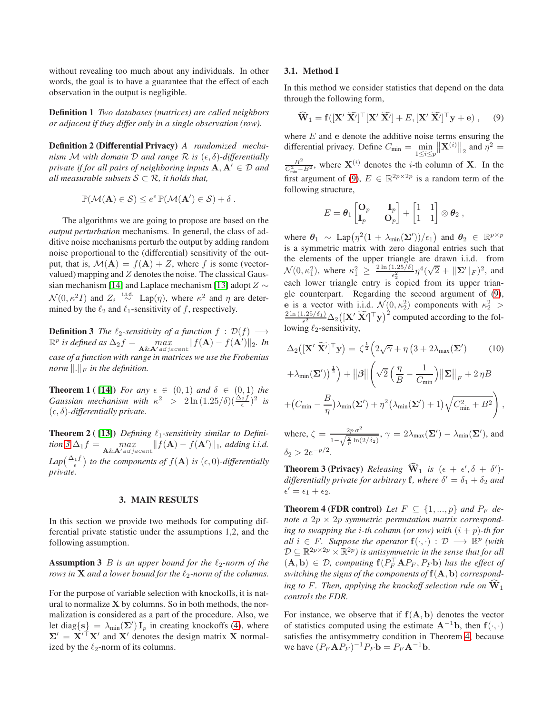without revealing too much about any individuals. In other words, the goal is to have a guarantee that the effect of each observation in the output is negligible.

Definition 1 *Two databases (matrices) are called neighbors or adjacent if they differ only in a single observation (row).*

Definition 2 (Differential Privacy) *A randomized mechanism* M with domain D and range R is  $(\epsilon, \delta)$ -differentially *private if for all pairs of neighboring inputs*  $A, A' \in \mathcal{D}$  *and all measurable subsets*  $S \subset \mathcal{R}$ *, it holds that,* 

$$
\mathbb{P}(\mathcal{M}(\mathbf{A}) \in \mathcal{S}) \leq e^{\epsilon} \mathbb{P}(\mathcal{M}(\mathbf{A}') \in \mathcal{S}) + \delta.
$$

The algorithms we are going to propose are based on the *output perturbation* mechanisms. In general, the class of additive noise mechanisms perturb the output by adding random noise proportional to the (differential) sensitivity of the output, that is,  $\mathcal{M}(\mathbf{A}) = f(\mathbf{A}) + Z$ , where f is some (vectorvalued) mapping and  $Z$  denotes the noise. The classical Gaus-sian mechanism [\[14\]](#page-6-0) and Laplace mechanism [\[13\]](#page-5-12) adopt  $Z \sim$  $\mathcal{N}(0, \kappa^2 I)$  and  $Z_i \stackrel{\text{i.i.d.}}{\sim} \text{Lap}(\eta)$ , where  $\kappa^2$  and  $\eta$  are determined by the  $\ell_2$  and  $\ell_1$ -sensitivity of f, respectively.

<span id="page-2-0"></span>**Definition 3** *The*  $\ell_2$ -sensitivity of a function  $f : \mathcal{D}(f) \longrightarrow$  $\mathbb{R}^p$  is defined as  $\Delta_2 f = \max_{\mathbf{A} \& \mathbf{A}' \text{adjacent}} ||f(\mathbf{A}) - f(\mathbf{A}')||_2$ . In *case of a function with range in matrices we use the Frobenius norm*  $\Vert . \Vert_F$  *in the definition.* 

<span id="page-2-5"></span>**Theorem 1** ( [\[14\]](#page-6-0)) *For any*  $\epsilon \in (0,1)$  *and*  $\delta \in (0,1)$  *the Gaussian mechanism with*  $\kappa^2$  >  $2 \ln(1.25/\delta)(\frac{\Delta_2 f}{\epsilon})^2$  *is*  $(\epsilon, \delta)$ -differentially private.

<span id="page-2-4"></span>Theorem 2 ( [\[13\]](#page-5-12)) *Defining* ℓ1*-sensitivity similar to Defini-* $\text{tion } 3 \Delta_1 f = \max_{\mathbf{A} \& \mathbf{A}' \text{adjacent}} ||f(\mathbf{A}) - f(\mathbf{A}')||_1$  $\text{tion } 3 \Delta_1 f = \max_{\mathbf{A} \& \mathbf{A}' \text{adjacent}} ||f(\mathbf{A}) - f(\mathbf{A}')||_1$  $\text{tion } 3 \Delta_1 f = \max_{\mathbf{A} \& \mathbf{A}' \text{adjacent}} ||f(\mathbf{A}) - f(\mathbf{A}')||_1$ , adding i.i.d.  $Lap\left(\frac{\Delta_1 f}{\epsilon}\right)$  to the components of  $f(A)$  is  $(\epsilon, 0)$ -differentially *private.*

#### 3. MAIN RESULTS

In this section we provide two methods for computing differential private statistic under the assumptions 1,2, and the following assumption.

**Assumption 3** *B is an upper bound for the*  $\ell_2$ *-norm of the rows in* **X** *and a lower bound for the*  $\ell_2$ *-norm of the columns.* 

For the purpose of variable selection with knockoffs, it is natural to normalize  $X$  by columns. So in both methods, the normalization is considered as a part of the procedure. Also, we let diag $\{s\} = \lambda_{\min}(\Sigma') I_p$  in creating knockoffs [\(4\)](#page-1-4), where  $\Sigma' = X'^{\top}X'$  and X' denotes the design matrix X normalized by the  $\ell_2$ -norm of its columns.

#### 3.1. Method I

In this method we consider statistics that depend on the data through the following form,

<span id="page-2-1"></span>
$$
\widehat{\mathbf{W}}_1 = \mathbf{f}([\mathbf{X}' \widetilde{\mathbf{X}}']^\top [\mathbf{X}' \widetilde{\mathbf{X}}'] + E, [\mathbf{X}' \widetilde{\mathbf{X}}']^\top \mathbf{y} + \mathbf{e}), \quad (9)
$$

where  $E$  and  $e$  denote the additive noise terms ensuring the differential privacy. Define  $C_{\min} = \min_{1 \le i \le p}$  $\|\mathbf{X}^{(i)}\|_2$  and  $\eta^2 =$  $\frac{B^2}{C_{\min}^2 - B^2}$ , where  $\mathbf{X}^{(i)}$  denotes the *i*-th column of **X**. In the first argument of [\(9\)](#page-2-1),  $E \in \mathbb{R}^{2p \times 2p}$  is a random term of the following structure,

$$
E = \boldsymbol{\theta}_1 \begin{bmatrix} \mathbf{O}_p && \mathbf{I}_p \\ \mathbf{I}_p && \mathbf{O}_p \end{bmatrix} + \begin{bmatrix} 1 & 1 \\ 1 & 1 \end{bmatrix} \otimes \boldsymbol{\theta}_2 ,
$$

where  $\theta_1 \sim \text{Lap}(\eta^2(1 + \lambda_{\text{min}}(\Sigma'))/\epsilon_1)$  and  $\theta_2 \in \mathbb{R}^{p \times p}$ is a symmetric matrix with zero diagonal entries such that the elements of the upper triangle are drawn i.i.d. from  $\mathcal{N}(0, \kappa_1^2)$ , where  $\kappa_1^2 \ge \frac{2 \ln(1.25/\delta)}{\epsilon_2^2}$  $\frac{1.25/\delta)}{\epsilon_2^2}\eta^4(\sqrt{2}+\|\mathbf{\Sigma}'\|_F)^2$ , and each lower triangle entry is copied from its upper triangle counterpart. Regarding the second argument of [\(9\)](#page-2-1), e is a vector with i.i.d.  $\mathcal{N}(0, \kappa_2^2)$  components with  $\kappa_2^2 > 2\ln(1.25/\delta_1)$   $\wedge$   $(|\mathbf{v}/\widetilde{\mathbf{v}}/|\mathbf{v}|^2)$  computed according to the fol- $\frac{1.25/\delta_1}{\epsilon^2}$   $\Delta_2\big([\mathbf{X}'\ \widetilde{\mathbf{X}'}]^\top \mathbf{y}\big)^2$  computed according to the following  $\ell_2$ -sensitivity,

<span id="page-2-6"></span>
$$
\Delta_2\left(\left[\mathbf{X}'\ \widetilde{\mathbf{X}'}\right]^\top \mathbf{y}\right) = \zeta^{\frac{1}{2}} \left(2\sqrt{\gamma} + \eta \left(3 + 2\lambda_{\max}(\mathbf{\Sigma}')\right) \right)
$$
\n
$$
+ \lambda_{\min}(\mathbf{\Sigma}')^{\frac{1}{2}}\right) + \|\boldsymbol{\beta}\| \left(\sqrt{2}\left(\frac{\eta}{B} - \frac{1}{C_{\min}}\right) \|\boldsymbol{\Sigma}\|_F + 2\eta B + (C_{\min} - \frac{B}{\eta})\lambda_{\min}(\mathbf{\Sigma}') + \eta^2 \left(\lambda_{\min}(\mathbf{\Sigma}') + 1\right) \sqrt{C_{\min}^2 + B^2}\right),
$$
\n(10)

where,  $\zeta = \frac{2p\sigma^2}{\sqrt{2\pi\epsilon}}$  $\frac{2p\,\sigma^2}{1-\sqrt{\frac{2}{p}\ln(2/\delta_2)}},\,\gamma=2\lambda_{\max}(\boldsymbol{\Sigma}')-\lambda_{\min}(\boldsymbol{\Sigma}'),$  and  $\delta_2 > 2e^{-p/2}.$ 

<span id="page-2-3"></span>**Theorem 3 (Privacy)** *Releasing*  $\widehat{\mathbf{W}}_1$  *is*  $(\epsilon + \epsilon', \delta + \delta')$  $differentially private for arbitrary  $f$ , where  $\delta' = \delta_1 + \delta_2$  and$  $\epsilon' = \epsilon_1 + \epsilon_2.$ 

<span id="page-2-2"></span>**Theorem 4 (FDR control)** Let  $F \subseteq \{1, ..., p\}$  and  $P_F$  de*note a*  $2p \times 2p$  *symmetric permutation matrix corresponding to swapping the i-th column (or row) with*  $(i + p)$ -th for *all*  $i \in F$ *. Suppose the operator*  $f(\cdot, \cdot) : \mathcal{D} \longrightarrow \mathbb{R}^p$  (with  $D \subseteq \mathbb{R}^{2p \times 2p} \times \mathbb{R}^{2p}$  is antisymmetric in the sense that for all  $(A, b) \in \mathcal{D}$ , computing  $f(P_F^{\top} A P_F, P_F b)$  has the effect of *switching the signs of the components of* f(A, b) *corresponding to* F. Then, applying the knockoff selection rule on  $\hat{W}_1$ *controls the FDR.*

For instance, we observe that if  $f(A, b)$  denotes the vector of statistics computed using the estimate  $A^{-1}b$ , then  $f(\cdot, \cdot)$ satisfies the antisymmetry condition in Theorem [4,](#page-2-2) because we have  $(P_F \mathbf{A} P_F)^{-1} P_F \mathbf{b} = P_F \mathbf{A}^{-1} \mathbf{b}$ .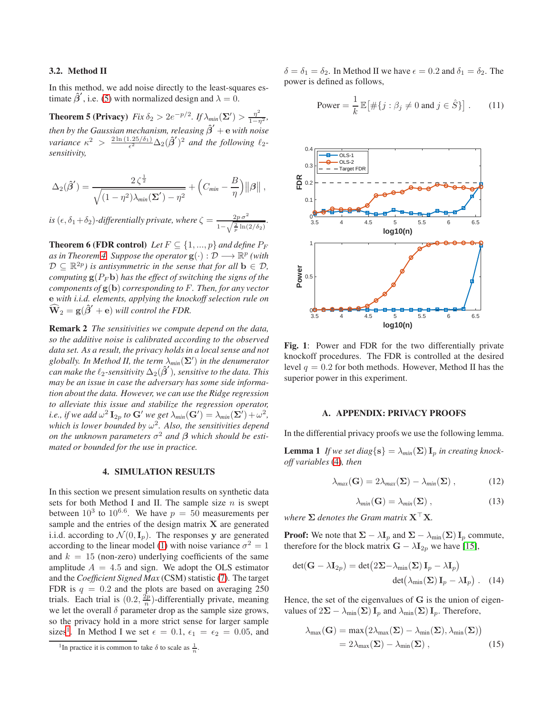## 3.2. Method II

In this method, we add noise directly to the least-squares estimate  $\hat{\beta}'$ , i.e. [\(5\)](#page-1-1) with normalized design and  $\lambda = 0$ .

**Theorem 5 (Privacy)**  $Fix \delta_2 > 2e^{-p/2}$ . If  $\lambda_{min}(\Sigma') > \frac{\eta^2}{1-\eta^2}$ , *then by the Gaussian mechanism, releasing*  $\hat{\beta}'$  *+ e with noise variance*  $\kappa^2 > \frac{2 \ln (1.25/\delta_1)}{\epsilon^2}$  $\frac{(-25/\delta_1)}{\epsilon^2} \Delta_2(\hat{\beta}')^2$  and the following  $\ell_2$ *sensitivity,*

$$
\Delta_2(\hat{\beta}') = \frac{2\,\zeta^{\frac{1}{2}}}{\sqrt{(1-\eta^2)\lambda_{\text{min}}(\boldsymbol{\Sigma}')-\eta^2}} + \left(C_{\text{min}}-\frac{B}{\eta}\right) ||\boldsymbol{\beta}||,
$$

*is*  $(\epsilon, \delta_1 + \delta_2)$ -differentially private, where  $\zeta = \frac{2p\sigma^2}{\sqrt{2p\sigma^2}}$  $\frac{2p\,\sigma^2}{1-\sqrt{\frac{2}{p}\ln(2/\delta_2)}}$ .

<span id="page-3-4"></span>**Theorem 6 (FDR control)** *Let*  $F \subseteq \{1, ..., p\}$  *and define*  $P_F$ *as in Theorem [4.](#page-2-2) Suppose the operator*  $g(\cdot): \mathcal{D} \longrightarrow \mathbb{R}^p$  (with  $\mathcal{D} \subseteq \mathbb{R}^{2p}$  is antisymmetric in the sense that for all  $\mathbf{b} \in \mathcal{D}$ , *computing*  $g(P_F b)$  *has the effect of switching the signs of the components of* g(b) *corresponding to* F*. Then, for any vector* e *with i.i.d. elements, applying the knockoff selection rule on*  $\widehat{\mathbf{W}}_2 = \mathbf{g}(\widehat{\boldsymbol{\beta}}' + \mathbf{e})$  will control the FDR.

Remark 2 *The sensitivities we compute depend on the data, so the additive noise is calibrated according to the observed data set. As a result, the privacy holds in a local sense and not globally. In Method II, the term* λ*min*(Σ′ ) *in the denumerator*  $\stackrel{\sim}{c}$ an make the  $\ell_2$ -sensitivity  $\Delta_2(\hat{\boldsymbol{\beta}}')$ , sensitive to the data. This *may be an issue in case the adversary has some side information about the data. However, we can use the Ridge regression to alleviate this issue and stabilize the regression operator, i.e., if we add*  $\omega^2 \mathbf{I}_{2p}$  *to*  $\mathbf{G}'$  *we get*  $\lambda_{min}(\mathbf{G}') = \lambda_{min}(\mathbf{\Sigma}') + \omega^2$ , *which is lower bounded by* ω 2 *. Also, the sensitivities depend on the unknown parameters*  $\sigma^2$  *and*  $\beta$  *which should be estimated or bounded for the use in practice.*

## 4. SIMULATION RESULTS

In this section we present simulation results on synthetic data sets for both Method I and II. The sample size  $n$  is swept between  $10^3$  to  $10^{6.6}$ . We have  $p = 50$  measurements per sample and the entries of the design matrix  $X$  are generated i.i.d. according to  $\mathcal{N}(0, \mathbf{I}_p)$ . The responses y are generated according to the linear model [\(1\)](#page-0-0) with noise variance  $\sigma^2 = 1$ and  $k = 15$  (non-zero) underlying coefficients of the same amplitude  $A = 4.5$  and sign. We adopt the OLS estimator and the *Coefficient Signed Max* (CSM) statistic [\(7\)](#page-1-3). The target FDR is  $q = 0.2$  and the plots are based on averaging 250 trials. Each trial is  $(0.2, \frac{2p}{n})$ -differentially private, meaning we let the overall  $\delta$  parameter drop as the sample size grows, so the privacy hold in a more strict sense for larger sample sizes<sup>[1](#page-3-1)</sup>. In Method I we set  $\epsilon = 0.1$ ,  $\epsilon_1 = \epsilon_2 = 0.05$ , and

<span id="page-3-3"></span> $\delta = \delta_1 = \delta_2$ . In Method II we have  $\epsilon = 0.2$  and  $\delta_1 = \delta_2$ . The power is defined as follows,

Power = 
$$
\frac{1}{k} \mathbb{E} [\# \{ j : \beta_j \neq 0 \text{ and } j \in \hat{S} \}]
$$
. (11)



Fig. 1: Power and FDR for the two differentially private knockoff procedures. The FDR is controlled at the desired level  $q = 0.2$  for both methods. However, Method II has the superior power in this experiment.

## A. APPENDIX: PRIVACY PROOFS

In the differential privacy proofs we use the following lemma.

**Lemma 1** If we set diag $\{s\} = \lambda_{min}(\Sigma) I_p$  in creating knock*off variables* [\(4\)](#page-1-4)*, then*

$$
\lambda_{max}(\mathbf{G}) = 2\lambda_{max}(\mathbf{\Sigma}) - \lambda_{min}(\mathbf{\Sigma})\,,\tag{12}
$$

<span id="page-3-0"></span>
$$
\lambda_{min}(\mathbf{G}) = \lambda_{min}(\mathbf{\Sigma})\,,\tag{13}
$$

*where*  $Σ$  *denotes the Gram matrix*  $X<sup>⊤</sup>X$ *.* 

**Proof:** We note that  $\Sigma - \lambda I_p$  and  $\Sigma - \lambda_{min}(\Sigma) I_p$  commute, therefore for the block matrix  $G - \lambda I_{2p}$  we have [\[15\]](#page-6-1),

$$
det(\mathbf{G} - \lambda \mathbf{I}_{2p}) = det(2\Sigma - \lambda_{\min}(\Sigma) \mathbf{I}_{p} - \lambda \mathbf{I}_{p})
$$

$$
det(\lambda_{\min}(\Sigma) \mathbf{I}_{p} - \lambda \mathbf{I}_{p}). \quad (14)
$$

Hence, the set of the eigenvalues of G is the union of eigenvalues of  $2\Sigma - \lambda_{\min}(\Sigma) I_p$  and  $\lambda_{\min}(\Sigma) I_p$ . Therefore,

<span id="page-3-2"></span>
$$
\lambda_{\max}(\mathbf{G}) = \max(2\lambda_{\max}(\mathbf{\Sigma}) - \lambda_{\min}(\mathbf{\Sigma}), \lambda_{\min}(\mathbf{\Sigma}))
$$
  
= 2\lambda\_{\max}(\mathbf{\Sigma}) - \lambda\_{\min}(\mathbf{\Sigma}), (15)

<span id="page-3-1"></span><sup>&</sup>lt;sup>1</sup>In practice it is common to take  $\delta$  to scale as  $\frac{1}{n}$ .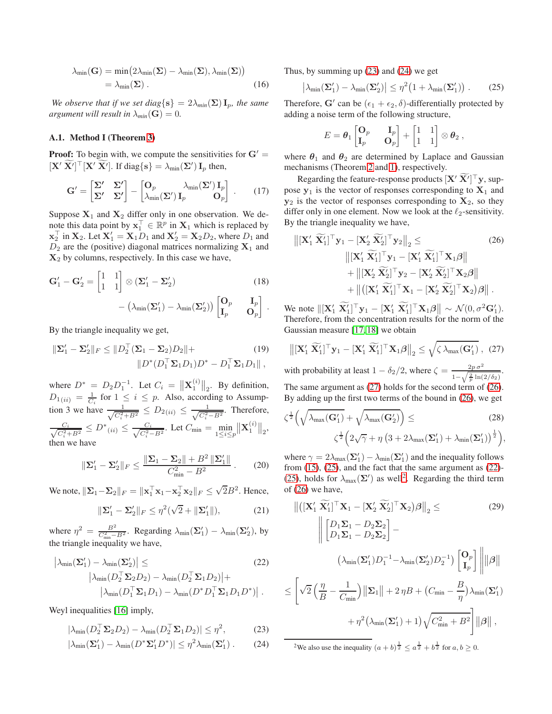$$
\lambda_{\min}(\mathbf{G}) = \min(2\lambda_{\min}(\mathbf{\Sigma}) - \lambda_{\min}(\mathbf{\Sigma}), \lambda_{\min}(\mathbf{\Sigma}))
$$
  
=  $\lambda_{\min}(\mathbf{\Sigma})$ . (16)

*We observe that if we set diag*{ $s$ } =  $2\lambda_{min}(\Sigma)$ **I**<sub>p</sub>*, the same argument will result in*  $\lambda_{min}(\mathbf{G}) = 0$ .

## A.1. Method I (Theorem [3\)](#page-2-3)

**Proof:** To begin with, we compute the sensitivities for  $G' =$  $[\mathbf{X}' \ \overline{\mathbf{X}}']^{\top} [\mathbf{X}' \ \overline{\mathbf{X}}']$ . If diag $\{ \mathbf{s} \} = \lambda_{\min}(\mathbf{\Sigma}') \mathbf{I}_p$  then,

$$
\mathbf{G}' = \begin{bmatrix} \Sigma' & \Sigma' \\ \Sigma' & \Sigma' \end{bmatrix} - \begin{bmatrix} \mathbf{O}_p & \lambda_{\min}(\Sigma') \mathbf{I}_p \\ \lambda_{\min}(\Sigma') \mathbf{I}_p & \mathbf{O}_p \end{bmatrix} . \tag{17}
$$

Suppose  $X_1$  and  $X_2$  differ only in one observation. We denote this data point by  $\mathbf{x}_1^{\top} \in \mathbb{R}^p$  in  $\mathbf{X}_1$  which is replaced by  $\mathbf{x}_2^{\top}$  in  $\mathbf{X}_2$ . Let  $\mathbf{X}'_1 = \mathbf{X}_1 D_1$  and  $\mathbf{X}'_2 = \mathbf{X}_2 D_2$ , where  $D_1$  and  $D_2$  are the (positive) diagonal matrices normalizing  $X_1$  and  $X<sub>2</sub>$  by columns, respectively. In this case we have,

$$
\mathbf{G}'_1 - \mathbf{G}'_2 = \begin{bmatrix} 1 & 1 \\ 1 & 1 \end{bmatrix} \otimes (\Sigma'_1 - \Sigma'_2) \tag{18}
$$

$$
- (\lambda_{\min}(\Sigma'_1) - \lambda_{\min}(\Sigma'_2)) \begin{bmatrix} \mathbf{O}_p & \mathbf{I}_p \\ \mathbf{I}_p & \mathbf{O}_p \end{bmatrix}.
$$

By the triangle inequality we get,

$$
\|\boldsymbol{\Sigma}_{1}^{\prime}-\boldsymbol{\Sigma}_{2}^{\prime}\|_{F}\leq\|D_{2}^{\top}(\boldsymbol{\Sigma}_{1}-\boldsymbol{\Sigma}_{2})D_{2}\|+\|D^{*}(D_{1}^{\top}\boldsymbol{\Sigma}_{1}D_{1})D^{*}-D_{1}^{\top}\boldsymbol{\Sigma}_{1}D_{1}\|,
$$
\n(19)

where  $D^* = D_2 D_1^{-1}$ . Let  $C_i = ||\mathbf{X}_1^{(i)}||_2$ . By definition,  $D_{1(ii)} = \frac{1}{C_i}$  for  $1 \leq i \leq p$ . Also, according to Assumption 3 we have  $\frac{1}{\sqrt{C_i^2 + B^2}} \le D_{2(ii)} \le \frac{1}{\sqrt{C_i^2 - B^2}}$ . Therefore,  $\frac{C_i}{\sqrt{C_i^2 + B^2}} \le D^*(u) \le \frac{C_i}{\sqrt{C_i^2 - B^2}}$ . Let  $C_{\min} = \min_{1 \le i \le p}$  $\big\lVert \mathbf{X}^{(i)}_1 \big\rVert_2,$ then we have

$$
\|\Sigma_1' - \Sigma_2'\|_F \le \frac{\|\Sigma_1 - \Sigma_2\| + B^2 \|\Sigma_1'\|}{C_{\min}^2 - B^2}.
$$
 (20)

We note,  $\|\Sigma_1 - \Sigma_2\|_F = \|\mathbf{x}_1^\top \mathbf{x}_1 - \mathbf{x}_2^\top \mathbf{x}_2\|_F \leq \sqrt{2}B^2$ . Hence,

$$
\|\Sigma_1' - \Sigma_2'\|_F \le \eta^2(\sqrt{2} + \|\Sigma_1'\|),\tag{21}
$$

where  $\eta^2 = \frac{B^2}{C_{\min}^2 - B^2}$ . Regarding  $\lambda_{\min}(\Sigma_1') - \lambda_{\min}(\Sigma_2')$ , by the triangle inequality we have,

$$
\left| \lambda_{\min}(\mathbf{\Sigma}_{1}') - \lambda_{\min}(\mathbf{\Sigma}_{2}') \right| \leq \qquad (22)
$$

$$
\left| \lambda_{\min}(D_{2}^{\top}\mathbf{\Sigma}_{2}D_{2}) - \lambda_{\min}(D_{2}^{\top}\mathbf{\Sigma}_{1}D_{2}) \right| + \left| \lambda_{\min}(D_{1}^{\top}\mathbf{\Sigma}_{1}D_{1}) - \lambda_{\min}(D^{*}D_{1}^{\top}\mathbf{\Sigma}_{1}D_{1}D^{*}) \right|.
$$

Weyl inequalities [\[16\]](#page-6-2) imply,

$$
|\lambda_{\min}(D_2^\top \Sigma_2 D_2) - \lambda_{\min}(D_2^\top \Sigma_1 D_2)| \le \eta^2,\tag{23}
$$

$$
|\lambda_{\min}(\mathbf{\Sigma}'_1) - \lambda_{\min}(D^*\mathbf{\Sigma}'_1 D^*)| \leq \eta^2 \lambda_{\min}(\mathbf{\Sigma}'_1).
$$
 (24)

<span id="page-4-9"></span>Thus, by summing up [\(23\)](#page-4-0) and [\(24\)](#page-4-1) we get

<span id="page-4-4"></span>
$$
\left|\lambda_{\min}(\Sigma_1') - \lambda_{\min}(\Sigma_2')\right| \leq \eta^2 \big(1 + \lambda_{\min}(\Sigma_1')\big) \,. \tag{25}
$$

Therefore, G' can be  $(\epsilon_1 + \epsilon_2, \delta)$ -differentially protected by adding a noise term of the following structure,

<span id="page-4-3"></span>
$$
E = \boldsymbol{\theta}_1 \begin{bmatrix} \mathbf{O}_p & \mathbf{I}_p \\ \mathbf{I}_p & \mathbf{O}_p \end{bmatrix} + \begin{bmatrix} 1 & 1 \\ 1 & 1 \end{bmatrix} \otimes \boldsymbol{\theta}_2 ,
$$

where  $\theta_1$  and  $\theta_2$  are determined by Laplace and Gaussian mechanisms (Theorem [2](#page-2-4) and [1\)](#page-2-5), respectively.

Regarding the feature-response products  $[\mathbf{X}' \ \mathbf{X}']^\top \mathbf{y}$ , suppose  $y_1$  is the vector of responses corresponding to  $X_1$  and  $y_2$  is the vector of responses corresponding to  $X_2$ , so they differ only in one element. Now we look at the  $\ell_2$ -sensitivity. By the triangle inequality we have,

$$
\|[\mathbf{X}'_1 \ \widetilde{\mathbf{X}}'_1]^\top \mathbf{y}_1 - [\mathbf{X}'_2 \ \widetilde{\mathbf{X}}'_2]^\top \mathbf{y}_2\|_2 \leq \qquad (26)
$$
  

$$
\|[\mathbf{X}'_1 \ \widetilde{\mathbf{X}}'_1]^\top \mathbf{y}_1 - [\mathbf{X}'_1 \ \widetilde{\mathbf{X}}'_1]^\top \mathbf{X}_1 \beta\| + \|[\mathbf{X}'_2 \ \widetilde{\mathbf{X}}'_2]^\top \mathbf{y}_2 - [\mathbf{X}'_2 \ \widetilde{\mathbf{X}}'_2]^\top \mathbf{X}_2 \beta\| + \|([\mathbf{X}'_1 \ \widetilde{\mathbf{X}}'_1]^\top \mathbf{X}_1 - [\mathbf{X}'_2 \ \widetilde{\mathbf{X}}'_2]^\top \mathbf{X}_2) \beta\|.
$$

We note  $\|[{\bf X}_1' \ \widetilde{\bf X}_1']^\top {\bf y}_1 - [{\bf X}_1' \ \widetilde{\bf X}_1']^\top {\bf X}_1 \boldsymbol{\beta} \| \sim \mathcal{N}(0, \sigma^2 {\bf G}_1').$ Therefore, from the concentration results for the norm of the Gaussian measure [\[17,](#page-6-3) [18\]](#page-6-4) we obtain

<span id="page-4-2"></span>
$$
\left\| \left[ \mathbf{X}_{1}^{\prime} \; \widetilde{\mathbf{X}}_{1}^{\prime} \right]^{T} \mathbf{y}_{1} - \left[ \mathbf{X}_{1}^{\prime} \; \widetilde{\mathbf{X}}_{1}^{\prime} \right]^{T} \mathbf{X}_{1} \beta \right\|_{2} \leq \sqrt{\zeta \lambda_{\text{max}}(\mathbf{G}_{1}^{\prime})}, \tag{27}
$$

with probability at least  $1 - \delta_2/2$ , where  $\zeta = \frac{2p\sigma^2}{1 - \sqrt{2 \ln \left(\frac{\mu}{2}\right)}}$  $\frac{2p\,\sigma^2}{1-\sqrt{\frac{2}{p}\ln(2/\delta_2)}}$ . The same argument as [\(27\)](#page-4-2) holds for the second term of [\(26\)](#page-4-3). By adding up the first two terms of the bound in [\(26\)](#page-4-3), we get

<span id="page-4-7"></span>
$$
\zeta^{\frac{1}{2}}\left(\sqrt{\lambda_{\max}(\mathbf{G}'_1)} + \sqrt{\lambda_{\max}(\mathbf{G}'_2)}\right) \leq (28)
$$

$$
\zeta^{\frac{1}{2}}\left(2\sqrt{\gamma} + \eta\left(3 + 2\lambda_{\max}(\mathbf{\Sigma}'_1) + \lambda_{\min}(\mathbf{\Sigma}'_1)\right)^{\frac{1}{2}}\right),
$$

where  $\gamma = 2\lambda_{\text{max}}(\Sigma_1') - \lambda_{\text{min}}(\Sigma_1')$  and the inequality follows from [\(15\)](#page-3-2), [\(25\)](#page-4-4), and the fact that the same argument as [\(22\)](#page-4-5)- [\(25\)](#page-4-4), holds for  $\lambda_{\text{max}}(\Sigma')$  as well<sup>[2](#page-4-6)</sup>. Regarding the third term of [\(26\)](#page-4-3) we have,

<span id="page-4-8"></span><span id="page-4-5"></span>
$$
\|([\mathbf{X}'_1 \ \widetilde{\mathbf{X}}'_1]^\top \mathbf{X}_1 - [\mathbf{X}'_2 \ \widetilde{\mathbf{X}}'_2]^\top \mathbf{X}_2) \beta\|_2 \leq
$$
\n
$$
\| \begin{bmatrix} D_1 \Sigma_1 - D_2 \Sigma_2 \\ D_1 \Sigma_1 - D_2 \Sigma_2 \end{bmatrix} -
$$
\n
$$
(\lambda_{\min}(\Sigma'_1) D_1^{-1} - \lambda_{\min}(\Sigma'_2) D_2^{-1}) \begin{bmatrix} \mathbf{O}_p \\ \mathbf{I}_p \end{bmatrix} \| |\beta||
$$
\n
$$
\leq \left[ \sqrt{2} \left( \frac{\eta}{B} - \frac{1}{C_{\min}} \right) ||\Sigma_1|| + 2 \eta B + (C_{\min} - \frac{B}{\eta}) \lambda_{\min}(\Sigma'_1) + \eta^2 (\lambda_{\min}(\Sigma'_1) + 1) \sqrt{C_{\min}^2 + B^2} \right] ||\beta||,
$$

<span id="page-4-6"></span><span id="page-4-1"></span><span id="page-4-0"></span><sup>2</sup>We also use the inequality  $(a + b)^{\frac{1}{2}} \le a^{\frac{1}{2}} + b^{\frac{1}{2}}$  for  $a, b \ge 0$ .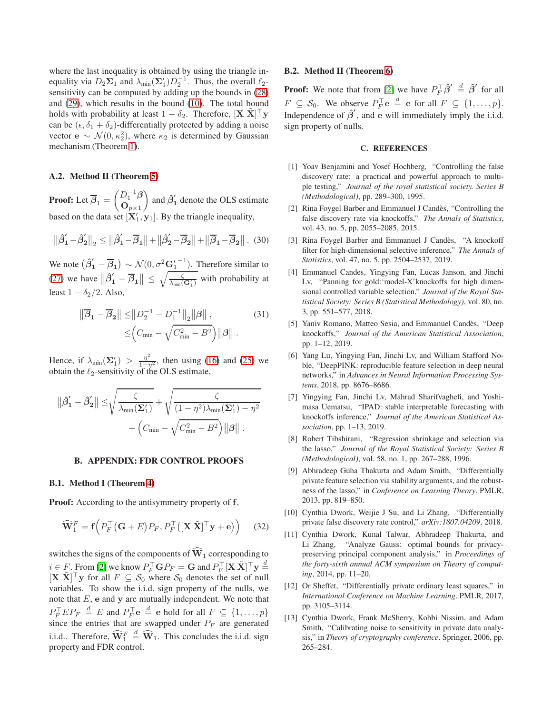where the last inequality is obtained by using the triangle inequality via  $D_2\Sigma_1$  and  $\lambda_{\min}(\Sigma'_1)D_2^{-1}$ . Thus, the overall  $\ell_2$ sensitivity can be computed by adding up the bounds in [\(28\)](#page-4-7) and [\(29\)](#page-4-8), which results in the bound [\(10\)](#page-2-6). The total bound holds with probability at least  $1 - \delta_2$ . Therefore,  $[\mathbf{X} \; \tilde{\mathbf{X}}]^\top \mathbf{y}$ can be  $(\epsilon, \delta_1 + \delta_2)$ -differentially protected by adding a noise vector  $\mathbf{e} \sim \mathcal{N}(0, \kappa_2^2)$ , where  $\kappa_2$  is determined by Gaussian mechanism (Theorem [1\)](#page-2-5).

## A.2. Method II (Theorem [5\)](#page-3-3)

**Proof:** Let  $\beta_1 =$  $\left( D_{1}^{-1}\beta \right)$  $\mathbf{O}_{p\times 1}$ ) and  $\hat{\beta}'_1$  denote the OLS estimate based on the data set  $[X'_1, y_1]$ . By the triangle inequality,

$$
\left\|\hat{\beta}'_1 - \hat{\beta}'_2\right\|_2 \le \left\|\hat{\beta}'_1 - \overline{\beta}_1\right\| + \left\|\hat{\beta}'_2 - \overline{\beta}_2\right\| + \left\|\overline{\beta}_1 - \overline{\beta}_2\right\|.\tag{30}
$$

We note  $(\hat{\beta}'_1 - \overline{\beta}_1) \sim \mathcal{N}(0, \sigma^2 \mathbf{G}'_1^{-1})$ . Therefore similar to [\(27\)](#page-4-2) we have  $\|\hat{\beta}'_1 - \overline{\beta}_1\|$   $\leq$  $\sqrt{g}$  $\frac{\zeta}{\lambda_{\min}(\mathbf{G}'_1)}$  with probability at least  $1 - \delta_2/2$ . Also,

$$
\|\overline{\beta}_1 - \overline{\beta}_2\| \le \|D_2^{-1} - D_1^{-1}\|_2 \|\beta\|,
$$
  
\n
$$
\le (C_{\min} - \sqrt{C_{\min}^2 - B^2}) \|\beta\|.
$$
\n(31)

Hence, if  $\lambda_{\min}(\Sigma_1') > \frac{\eta^2}{1-\eta^2}$ , then using [\(16\)](#page-4-9) and [\(25\)](#page-4-4) we obtain the  $\ell_2$ -sensitivity of the OLS estimate,

$$
\|\hat{\beta}'_1 - \hat{\beta}'_2\| \leq \sqrt{\frac{\zeta}{\lambda_{\min}(\Sigma'_1)}} + \sqrt{\frac{\zeta}{(1 - \eta^2)\lambda_{\min}(\Sigma'_1) - \eta^2}} + (C_{\min} - \sqrt{C_{\min}^2 - B^2}) \|\beta\|.
$$

## B. APPENDIX: FDR CONTROL PROOFS

## B.1. Method I (Theorem [4\)](#page-2-2)

**Proof:** According to the antisymmetry property of f,

$$
\widehat{\mathbf{W}}_1^F = \mathbf{f}\Big(P_F^\top \big(\mathbf{G} + E\big) P_F, P_F^\top \big( [\mathbf{X} \; \tilde{\mathbf{X}}]^\top \mathbf{y} + \mathbf{e}\big) \Big) \tag{32}
$$

switches the signs of the components of  $\hat{W}_1$  corresponding to  $i \in F$ . From [\[2\]](#page-5-1) we know  $P_F^{\top} \mathbf{G} P_F = \mathbf{G}$  and  $P_F^{\top} [\mathbf{X} \tilde{\mathbf{X}}]^{\top} \mathbf{y} \stackrel{d}{=}$  $[\mathbf{X} \ \tilde{\mathbf{X}}]^\top \mathbf{y}$  for all  $F \subseteq S_0$  where  $S_0$  denotes the set of null variables. To show the i.i.d. sign property of the nulls, we note that  $E$ ,  $e$  and  $y$  are mutually independent. We note that  $P_F^{\top} E P_F \stackrel{d}{=} E$  and  $P_F^{\top} e \stackrel{d}{=} e$  hold for all  $F \subseteq \{1, ..., p\}$ since the entries that are swapped under  $P_F$  are generated i.i.d.. Therefore,  $\widehat{\mathbf{W}}_1^F \stackrel{d}{=} \widehat{\mathbf{W}}_1$ . This concludes the i.i.d. sign property and FDR control.

#### B.2. Method II (Theorem [6\)](#page-3-4)

**Proof:** We note that from [\[2\]](#page-5-1) we have  $P_F^\top \hat{\beta}' \stackrel{d}{=} \hat{\beta}'$  for all  $F \subseteq \mathcal{S}_0$ . We observe  $P_F^{\top} \mathbf{e} \stackrel{d}{=} \mathbf{e}$  for all  $F \subseteq \{1, \ldots, p\}$ . Independence of  $\hat{\beta}'$ , and e will immediately imply the i.i.d. sign property of nulls.

## C. REFERENCES

- <span id="page-5-0"></span>[1] Yoav Benjamini and Yosef Hochberg, "Controlling the false discovery rate: a practical and powerful approach to multiple testing," *Journal of the royal statistical society. Series B (Methodological)*, pp. 289–300, 1995.
- <span id="page-5-1"></span>[2] Rina Foygel Barber and Emmanuel J Candès, "Controlling the false discovery rate via knockoffs," *The Annals of Statistics*, vol. 43, no. 5, pp. 2055–2085, 2015.
- <span id="page-5-2"></span>[3] Rina Foygel Barber and Emmanuel J Candès, "A knockoff filter for high-dimensional selective inference," *The Annals of Statistics*, vol. 47, no. 5, pp. 2504–2537, 2019.
- <span id="page-5-3"></span>[4] Emmanuel Candes, Yingying Fan, Lucas Janson, and Jinchi Lv, "Panning for gold:'model-X'knockoffs for high dimensional controlled variable selection," *Journal of the Royal Statistical Society: Series B (Statistical Methodology)*, vol. 80, no. 3, pp. 551–577, 2018.
- <span id="page-5-4"></span>[5] Yaniv Romano, Matteo Sesia, and Emmanuel Candès, "Deep knockoffs," *Journal of the American Statistical Association*, pp. 1–12, 2019.
- <span id="page-5-5"></span>[6] Yang Lu, Yingying Fan, Jinchi Lv, and William Stafford Noble, "DeepPINK: reproducible feature selection in deep neural networks," in *Advances in Neural Information Processing Systems*, 2018, pp. 8676–8686.
- <span id="page-5-6"></span>[7] Yingying Fan, Jinchi Lv, Mahrad Sharifvaghefi, and Yoshimasa Uematsu, "IPAD: stable interpretable forecasting with knockoffs inference," *Journal of the American Statistical Association*, pp. 1–13, 2019.
- <span id="page-5-7"></span>[8] Robert Tibshirani, "Regression shrinkage and selection via the lasso," *Journal of the Royal Statistical Society: Series B (Methodological)*, vol. 58, no. 1, pp. 267–288, 1996.
- <span id="page-5-8"></span>[9] Abhradeep Guha Thakurta and Adam Smith, "Differentially private feature selection via stability arguments, and the robustness of the lasso," in *Conference on Learning Theory*. PMLR, 2013, pp. 819–850.
- <span id="page-5-9"></span>[10] Cynthia Dwork, Weijie J Su, and Li Zhang, "Differentially private false discovery rate control," *arXiv:1807.04209*, 2018.
- <span id="page-5-10"></span>[11] Cynthia Dwork, Kunal Talwar, Abhradeep Thakurta, and Li Zhang, "Analyze Gauss: optimal bounds for privacypreserving principal component analysis," in *Proceedings of the forty-sixth annual ACM symposium on Theory of computing*, 2014, pp. 11–20.
- <span id="page-5-11"></span>[12] Or Sheffet, "Differentially private ordinary least squares," in *International Conference on Machine Learning*. PMLR, 2017, pp. 3105–3114.
- <span id="page-5-12"></span>[13] Cynthia Dwork, Frank McSherry, Kobbi Nissim, and Adam Smith, "Calibrating noise to sensitivity in private data analysis," in *Theory of cryptography conference*. Springer, 2006, pp. 265–284.